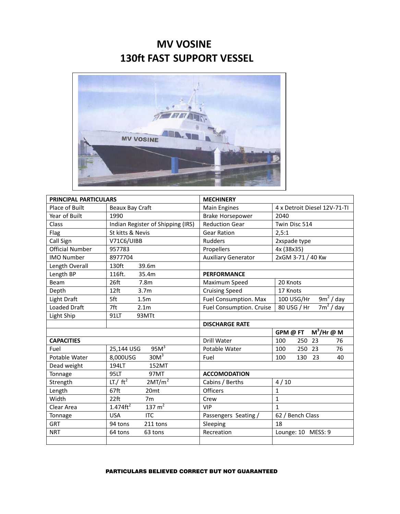## **MV VOSINE 130ft FAST SUPPORT VESSEL**



| PRINCIPAL PARTICULARS  |                                              | <b>MECHINERY</b>                |                                       |
|------------------------|----------------------------------------------|---------------------------------|---------------------------------------|
| Place of Built         | Beaux Bay Craft                              | <b>Main Engines</b>             | 4 x Detroit Diesel 12V-71-TI          |
| Year of Built          | 1990                                         | <b>Brake Horsepower</b>         | 2040                                  |
| Class                  | Indian Register of Shipping (IRS)            | <b>Reduction Gear</b>           | Twin Disc 514                         |
| Flag                   | St kitts & Nevis                             | <b>Gear Ration</b>              | 2,5:1                                 |
| Call Sign              | V71C6/UIBB                                   | <b>Rudders</b>                  | 2xspade type                          |
| <b>Official Number</b> | 957783                                       | Propellers                      | 4x (38x35)                            |
| <b>IMO Number</b>      | 8977704                                      | <b>Auxiliary Generator</b>      | 2xGM 3-71 / 40 Kw                     |
| Length Overall         | 130ft<br>39.6m                               |                                 |                                       |
| Length BP              | 116ft.<br>35.4m                              | <b>PERFORMANCE</b>              |                                       |
| Beam                   | 26ft<br>7.8 <sub>m</sub>                     | Maximum Speed                   | 20 Knots                              |
| Depth                  | 12 <sub>ft</sub><br>3.7 <sub>m</sub>         | <b>Cruising Speed</b>           | 17 Knots                              |
| Light Draft            | 5ft<br>1.5 <sub>m</sub>                      | <b>Fuel Consumption. Max</b>    | $\overline{9m^2}$ / day<br>100 USG/Hr |
| <b>Loaded Draft</b>    | 7ft<br>2.1 <sub>m</sub>                      | <b>Fuel Consumption. Cruise</b> | $\frac{1}{7}$ / day<br>80 USG / Hr    |
| Light Ship             | 91LT<br>93MTt                                |                                 |                                       |
|                        |                                              | <b>DISCHARGE RATE</b>           |                                       |
|                        |                                              |                                 | $M^3/Hr \otimes M$<br>GPM @ FT        |
| <b>CAPACITIES</b>      |                                              | Drill Water                     | 250<br>23<br>100<br>76                |
| Fuel                   | $95M^3$<br>25,144 USG                        | Potable Water                   | 76<br>100<br>250 23                   |
| Potable Water          | $30M^3$<br>8,000USG                          | Fuel                            | 100<br>130<br>23<br>40                |
| Dead weight            | 194LT<br>152MT                               |                                 |                                       |
| Tonnage                | 95LT<br>97MT                                 | <b>ACCOMODATION</b>             |                                       |
| Strength               | 2MT/m <sup>2</sup><br>$LT./$ ft <sup>2</sup> | Cabins / Berths                 | 4/10                                  |
| Length                 | 67ft<br>20 <sub>mt</sub>                     | <b>Officers</b>                 | $\mathbf{1}$                          |
| Width                  | $22$ ft<br>7 <sub>m</sub>                    | Crew                            | $\mathbf{1}$                          |
| Clear Area             | 137 m <sup>2</sup><br>$1.474 \text{ft}^2$    | <b>VIP</b>                      | $\mathbf{1}$                          |
| Tonnage                | <b>ITC</b><br><b>USA</b>                     | Passengers Seating /            | 62 / Bench Class                      |
| <b>GRT</b>             | 211 tons<br>94 tons                          | Sleeping                        | 18                                    |
| <b>NRT</b>             | 64 tons<br>63 tons                           | Recreation                      | Lounge: 10 MESS: 9                    |
|                        |                                              |                                 |                                       |

## PARTICULARS BELIEVED CORRECT BUT NOT GUARANTEED